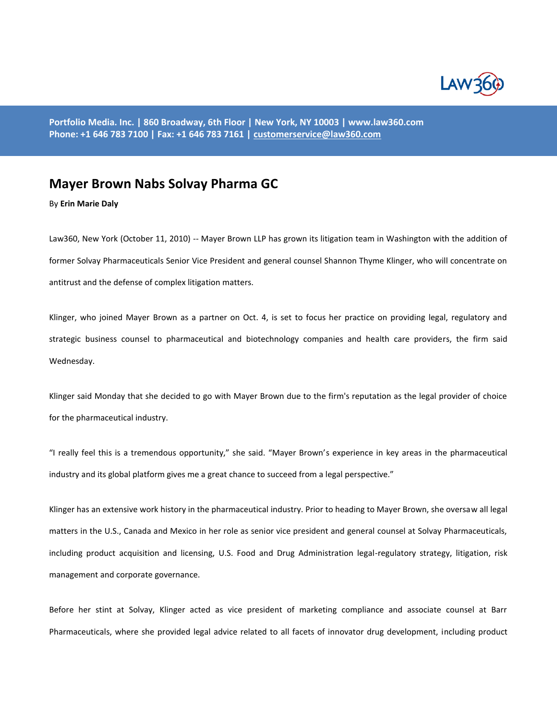

**Portfolio Media. Inc. | 860 Broadway, 6th Floor | New York, NY 10003 | www.law360.com Phone: +1 646 783 7100 | Fax: +1 646 783 7161 [| customerservice@law360.com](mailto:customerservice@law360.com)**

## **Mayer Brown Nabs Solvay Pharma GC**

By **Erin Marie Daly**

Law360, New York (October 11, 2010) -- Mayer Brown LLP has grown its litigation team in Washington with the addition of former Solvay Pharmaceuticals Senior Vice President and general counsel Shannon Thyme Klinger, who will concentrate on antitrust and the defense of complex litigation matters.

Klinger, who joined Mayer Brown as a partner on Oct. 4, is set to focus her practice on providing legal, regulatory and strategic business counsel to pharmaceutical and biotechnology companies and health care providers, the firm said Wednesday.

Klinger said Monday that she decided to go with Mayer Brown due to the firm's reputation as the legal provider of choice for the pharmaceutical industry.

"I really feel this is a tremendous opportunity," she said. "Mayer Brown's experience in key areas in the pharmaceutical industry and its global platform gives me a great chance to succeed from a legal perspective."

Klinger has an extensive work history in the pharmaceutical industry. Prior to heading to Mayer Brown, she oversaw all legal matters in the U.S., Canada and Mexico in her role as senior vice president and general counsel at Solvay Pharmaceuticals, including product acquisition and licensing, U.S. Food and Drug Administration legal-regulatory strategy, litigation, risk management and corporate governance.

Before her stint at Solvay, Klinger acted as vice president of marketing compliance and associate counsel at Barr Pharmaceuticals, where she provided legal advice related to all facets of innovator drug development, including product